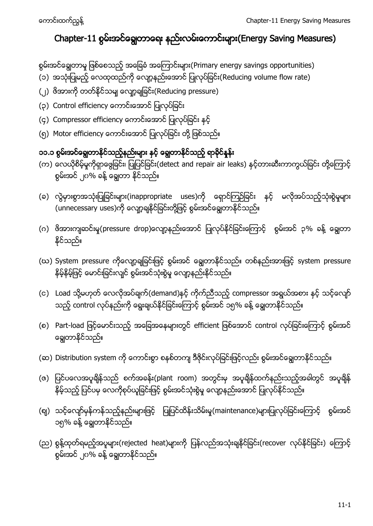# Chapter-11 စွမ်းအင်ချွေတာရေး နည်းလမ်းကောင်းများ(Energy Saving Measures)

စွမ်းအင်ချွေတာမှု ဖြစ်စေသည့် အခြေခံ အကြောင်းများ(Primary energy savings opportunities)

- (၁) အသုံးပြုမည့် လေထုထည်ကို လျော့နည်းအောင် ပြုလုပ်ခြင်း(Reducing volume flow rate)
- (၂) ဗိအားကို တတ်နိုင်သမျှ လျော့ချခြင်း(Reducing pressure)
- (၃) Control efficiency ကောင်းအောင် ပြုလုပ်ခြင်း
- (၄) Compressor efficiency ကောင်းအောင် ပြုလုပ်ခြင်း နှင့်
- (၅) Motor efficiency ကောင်းအောင် ပြုလုပ်ခြင်း တို့ ဖြစ်သည်။

## ၁၁.၁ စွမ်းအင်ရွှေတာနိုင်သည့်နည်းများ နှင့် ရွှေတာနိုင်သည့် ရာခိုင်နန်း

- (က) လေယိုစိမ့်မှုကိုရှာဖွေခြင်း၊ ပြုပြင်ခြင်း(detect and repair air leaks) နှင့်တားဆီးကာကွယ်ခြင်း တို့ကြောင့် စွမ်းအင် ၂၀% ခန့် ချေတာ နိုင်သည်။
- (ခ) လွဲမှားစွာအသုံးပြုခြင်းများ(inappropriate uses)ကို ရှောင်ကြဉ်ခြင်း နှင့် မလိုအပ်သည့်သုံးစွဲမှုများ ု<br>(unnecessary uses)ကို လျော့ချနိုင်ခြင်းတို့ဖြင့် စွမ်းအင်ချွေတာနိုင်သည်။
- (ဂ) ဖိအားကျဆင်းမှု(pressure drop)လျော့နည်းအောင် ပြုလုပ်နိုင်ခြင်းကြောင့် စွမ်းအင် ၃% ခန့် ချေတာ နိုင်သည်။
- (ဃ) System pressure ကိုလျော့ချခြင်းဖြင့် စွမ်းအင် ချွေတာနိုင်သည်။ တစ်နည်းအားဖြင့် system pressure နှိမ့်နှိမ့်ဖြင့် မောင်းခြင်းလျင် စွမ်းအင်သုံးစွဲမှု လျော့နည်းနိုင်သည်။
- (င) Load သို့မဟုတ် လေလိုအပ်ချက်(demand)နှင့် ကိုက်ညီသည့် compressor အရွယ်အစား နှင့် သင့်လျော် သည့် control လုပ်နည်းကို ရွေးချယ်နိုင်ခြင်းကြောင့် စွမ်းအင် ၁၅% ခန့် ချွေတာနိုင်သည်။
- (စ) Part-load ဖြင့်မောင်းသည့် အခြေအနေများတွင် efficient ဖြစ်အောင် control လုပ်ခြင်းကြောင့် စွမ်းအင် ချေတာနိုင်သည်။
- (ဆ) Distribution system ကို ကောင်းစွာ စနစ်တကျ ဒီဇိုင်းလုပ်ခြင်းဖြင့်လည်း စွမ်းအင်ချွေတာနိုင်သည်။
- (ဇ) ပြင်ပလေအပူရိန်သည် စက်အခန်း(plant room) အတွင်းမှ အပူရိန်ထက်နည်းသည့်အခါတွင် အပူရိန် နိမ့်သည့် ပြင်ပမှ လေကိုစုပ်ယူခြင်းဖြင့် စွမ်းအင်သုံးစွဲမှု လျော့နည်းအောင် ပြုလုပ်နိုင်သည်။
- (ဈ) သင့်လျော်မှန်ကန်သည့်နည်းများဖြင့် ပြုပြင်ထိန်းသိမ်းမှု(maintenance)များပြုလုပ်ခြင်းကြောင့် စွမ်းအင် ၁၅% ခန့် ချေတာနိုင်သည်။
- (ည) စွန့်ထုတ်ရမည့်အပူများ(rejected heat)များကို ပြန်လည်အသုံးရျနိုင်ခြင်း(recover လုပ်နိုင်ခြင်း) ကြောင့် စွမ်းအင် ၂၀% ခန့် ချေတာနိုင်သည်။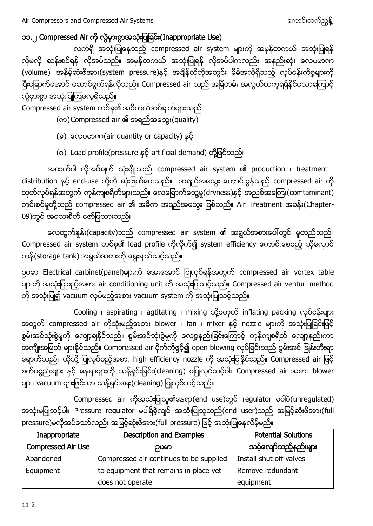### ၁၁.၂ Compressed Air ကို လွဲမှားစွာအသုံးပြုခြင်း(Inappropriate Use)

လက်ရှိ အသုံးပြုနေသည့် compressed air system များကို အမှန်တကယ် အသုံးပြုရန် လိုမလို ဆန်းစစ်ရန် လိုအပ်သည်။ အမှန်တကယ် အသုံးပြုရန် လိုအပ်ပါကလည်း အနည်းဆုံး လေပမာဏ (volume)၊ အနိမ့်ဆုံးဖိအား(system pressure)နှင့် အချိန်တိုတိုအတွင်း မိမိအလိုရှိသည့် လုပ်ငန်းကိစ္စများကို ပြီးမြောက်အောင် ဆောင်ရွက်ရန်လိုသည်။ Compressed air သည် အမြဲတမ်း အလွယ်တကူရရှိနိုင်သောကြောင့် လွဲမှားစွာ အသုံးပြုကြလေ့ရှိသည်။

Compressed air system တစ်ခု၏ အဓိကလိုအပ်ချက်များသည်

- (က)Compressed air ၏ အရည်အသွေး(quality)
- (ခ) လေပမာဏ(air quantity or capacity) နင့်
- (ဂ) Load profile(pressure နှင့် artificial demand) တို့ဖြစ်သည်။

အထက်ပါ လိုအပ်ချက် သုံးမျိုးသည် compressed air system ၏ production ၊ treatment ၊ distribution နှင့် end-use တို့ကို ဆုံးဖြတ်ပေးသည်။ အရည်အသွေး ကောင်းမွန်သည့် compressed air ကို ထုတ်လုပ်ရန်အတွက် ကုန်ကျစရိတ်များသည်။ လေခြောက်သွေ့မှု(dryness)နှင့် အညစ်အကြေး(comtaminant) ကင်းစင်မှုတို့သည် compressed air ၏ အဓိက အရည်အသွေး ဖြစ်သည်။ Air Treatment အခန်း(Chapter-09)တွင် အသေးစိတ် ဖော်ပြထားသည်။

လေထွက်နူန်း(capacity)သည် compressed air system ၏ အရွယ်အစားပေါ်တွင် မူတည်သည်။ Compressed air system တစ်ခု၏ load profile ကိုလိုက်၍ system efficiency ကောင်းစေမည့် သိုလှောင် ကန်(storage tank) အရွယ်အစားကို ရွေးချယ်သင့်သည်။

ဉပမာ Electrical carbinet(panel)များကို အေးအောင် ပြုလုပ်ရန်အတွက် compressed air vortex table များကို အသုံးပြုမည့်အစား air conditioning unit ကို အသုံးပြုသင့်သည်။ Compressed air venturi method ကို အသုံးပြု၍ vacuum လုပ်မည့်အစား vacuum system ကို အသုံးပြုသင့်သည်။

Cooling aspirating agtitating mixing သို့မဟုတ် inflating packing လုပ်ငန်းများ အတွက် compressed air ကိုသုံးမည့်အစား blower ၊ fan ၊ mixer နှင့် nozzle များကို အသုံးပြုခြင်းဖြင့် စွမ်းအင်သုံးစွဲမှုကို လျော့ချနိုင်သည်။ စွမ်းအင်သုံးစွဲမှုကို လျော့နည်းခြင်းကြောင့် ကုန်ကျစရိတ် လျော့နည်းကာ အကျိုးအမြတ် များနိုင်သည်။ Compressed air ပိုက်ကိုဗွင့်၍ open blowing လုပ်ခြင်းသည် စွမ်းအင် ဖြုန်းတီးရာ ရောက်သည်။ ထိုသို့ ပြုလုပ်မည့်အစား high efficiency nozzle ကို အသုံးပြုနိုင်သည်။ Compressed air ဖြင့် စက်ပစ္စည်းများ နှင့် နေရာများကို သန့်ရှင်းခြင်း(cleaning) မပြုလုပ်သင့်ပါ။ Compressed air အစား blower များ၊ vacuum များဖြင့်သာ သန့်ရှင်းရေး(cleaning) ပြုလုပ်သင့်သည်။

Compressed air ကိုအသုံးပြုသူ၏နေရာ(end use)တွင် regulator မပါပဲ(unregulated) အသုံးမပြုသင့်ပါ။ Pressure regulator မပါရှိခဲ့လျင် အသုံးပြုသူသည်(end user)သည် အမြင့်ဆုံးဖိအား(full pressure)မလိုအပ်သော်လည်း အမြင့်ဆုံးဖိအား(full pressure) ဖြင့် အသုံးပြုနေလိမ့်မည်။

| Inappropriate             | <b>Description and Examples</b>         | <b>Potential Solutions</b> |  |
|---------------------------|-----------------------------------------|----------------------------|--|
| <b>Compressed Air Use</b> | ဥပမာ                                    | သင့်လျော်သည့်နည်းများ      |  |
| Abandoned                 | Compressed air continues to be supplied | Install shut off valves    |  |
| Equipment                 | to equipment that remains in place yet  | Remove redundant           |  |
|                           | does not operate                        | equipment                  |  |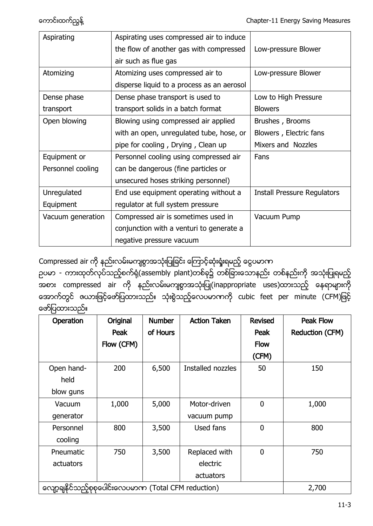| Aspirating        | Aspirating uses compressed air to induce   |                                    |  |
|-------------------|--------------------------------------------|------------------------------------|--|
|                   | the flow of another gas with compressed    | Low-pressure Blower                |  |
|                   | air such as flue gas                       |                                    |  |
| Atomizing         | Atomizing uses compressed air to           | Low-pressure Blower                |  |
|                   | disperse liquid to a process as an aerosol |                                    |  |
| Dense phase       | Dense phase transport is used to           | Low to High Pressure               |  |
| transport         | transport solids in a batch format         | <b>Blowers</b>                     |  |
| Open blowing      | Blowing using compressed air applied       | Brushes, Brooms                    |  |
|                   | with an open, unregulated tube, hose, or   | Blowers, Electric fans             |  |
|                   | pipe for cooling, Drying, Clean up         | Mixers and Nozzles                 |  |
| Equipment or      | Personnel cooling using compressed air     | Fans                               |  |
| Personnel cooling | can be dangerous (fine particles or        |                                    |  |
|                   | unsecured hoses striking personnel)        |                                    |  |
| Unregulated       | End use equipment operating without a      | <b>Install Pressure Regulators</b> |  |
| Equipment         | regulator at full system pressure          |                                    |  |
| Vacuum generation | Compressed air is sometimes used in        | Vacuum Pump                        |  |
|                   | conjunction with a venturi to generate a   |                                    |  |
|                   | negative pressure vacuum                   |                                    |  |

Compressed air ကို နည်းလမ်းမကျစွာအသုံးပြုခြင်း ကြောင့်ဆုံးရှုံးရမည့် ငွေပမာက

ဉပမာ - ကားထုတ်လုပ်သည့်စက်ရုံ(assembly plant)တစ်ခု၌ တစ်ခြားသောနည်း တစ်နည်းကို အသုံးပြုရမည့် အစား compressed air (inappropriate uses) အောက်တွင် ဇယားဖြင့်ဖော်ပြထားသည်။ သုံးစွဲသည့်လေပမာကကို cubic feet per minute (CFM)ဖြင့် ဖော်ပြထားသည်။

| Operation                                              | Original   | <b>Number</b> | <b>Action Taken</b> | <b>Revised</b> | <b>Peak Flow</b> |
|--------------------------------------------------------|------------|---------------|---------------------|----------------|------------------|
|                                                        | Peak       | of Hours      |                     | Peak           | Reduction (CFM)  |
|                                                        | Flow (CFM) |               |                     | <b>Flow</b>    |                  |
|                                                        |            |               |                     | (CFM)          |                  |
| Open hand-                                             | 200        | 6,500         | Installed nozzles   | 50             | 150              |
| held                                                   |            |               |                     |                |                  |
| blow guns                                              |            |               |                     |                |                  |
| Vacuum                                                 | 1,000      | 5,000         | Motor-driven        | 0              | 1,000            |
| generator                                              |            |               | vacuum pump         |                |                  |
| Personnel                                              | 800        | 3,500         | Used fans           | 0              | 800              |
| cooling                                                |            |               |                     |                |                  |
| Pneumatic                                              | 750        | 3,500         | Replaced with       | 0              | 750              |
| actuators                                              |            |               | electric            |                |                  |
|                                                        |            |               | actuators           |                |                  |
| ကျော့ချနိုင်သည့်စုစုပေါင်းလေပမာဏ (Total CFM reduction) |            |               |                     |                | 2,700            |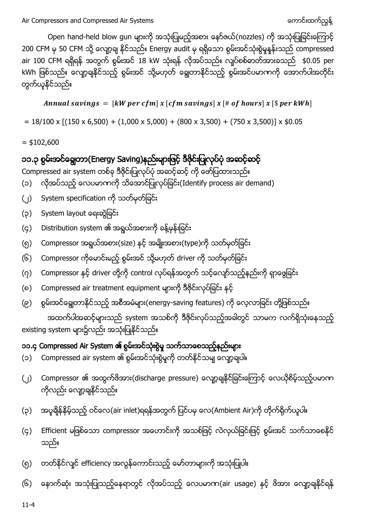Open hand-held blow gun များကို အသုံးပြုမည့်အစား နော်ဇယ်(nozzles) ကို အသုံးပြုခြင်းကြောင့် 200 CFM မှ 50 CFM သို့ လျော့ချ နိုင်သည်။ Energy audit မှ ရရှိသော စွမ်းအင်သုံးစွဲမှုနူန်းသည် compressed air 100 CFM ရရှိရန် အတွက် စွမ်းအင် 18 kW သုံးရန် လိုအပ်သည်။ လျပ်စစ်ဓာတ်အားခသည် \$0.05 per kWh ဖြစ်သည်။ လျော့ချနိုင်သည့် စွမ်းအင် သို့မဟုတ် ချွေတာနိုင်သည့် စွမ်းအင်ပမာကကို အောက်ပါအတိုင်း တွက်ယူနိုင်သည်။

Annual savings =  $[kW \text{ per } cfm] x [cfm \text{ savings}] x [# of hours] x [$ per kWh]$ 

 $= 18/100 \times [(150 \times 6,500) + (1,000 \times 5,000) + (800 \times 3,500) + (750 \times 3,500)] \times $0.05$ 

 $=$  \$102,600

## ၁၁.၃ စွမ်းအင်ရွှေတာ(Energy Saving)နည်းများဖြင့် ဒီဇိုင်းပြုလုပ်ပုံ အဆင့်ဆင့်

Compressed air system တစ်ခု ဒီဇိုင်းပြုလုပ်ပုံ အဆင့်ဆင့် ကို ဖော်ပြထားသည်။

- (၁) လိုအပ်သည့် လေပမာကကို သိအောင်ပြုလုပ်ခြင်း(Identify process air demand)
- (၂) System specification ကို သတ်မှတ်ခြင်း
- (၃) System layout ရေးဆွဲခြင်း
- (၄) Distribution system ၏ အရွယ်အစားကို ခန့်မှန်းခြင်း
- (၅) Compressor အရွယ်အစား(size) နင့် အမျိုးအစား(type)ကို သတ်မှတ်ခြင်း
- (၆) Compressor ကိုမောင်းမည့် စွမ်းအင် သို့မဟုတ် driver ကို သတ်မှတ်ခြင်း
- (၇) Compressor နှင့် driver တို့ကို control လုပ်ရန်အတွက် သင့်လျော်သည့်နည်းကို ရှာဖွေခြင်း
- (၈) Compressed air treatment equipment များကို ဒီဇိုင်းလုပ်ခြင်း နှင့်
- (၉) စွမ်းအင်ချွေတာနိုင်သည့် အစီအမံများ(energy-saving features) ကို လေ့လာခြင်း တို့ဖြစ်သည်။

အထက်ပါအဆင့်များသည် system အသစ်ကို ဒီဇိုင်းလုပ်သည့်အခါတွင် သာမက လက်ရှိသုံးနေသည့် existing system များ၌လည်း အသုံးပြုနိုင်သည်။

## ၁၁.၄ Compressed Air System ၏ စွမ်းအင်သုံးစွဲမှု သက်သာစေသည့်နည်းများ

- (၁) Compressed air system ၏ စွမ်းအင်သုံးစွဲမှုကို တတ်နိုင်သမျ လျော့ချပါ။
- (၂) Compressor ၏ အထွက်ဖိအား(discharge pressure) လျော့ချနိုင်ခြင်းကြောင့် လေယိုစိမ့်သည့်ပမာက ကိုလည်း လျော့ချနိုင်သည်။
- (၃) အပူရှိန်နိမ့်သည့် ဝင်လေ(air inlet)ရရန်အတွက် ပြင်ပမှ လေ(Ambient Air)ကို တိုက်ရိုက်ယူပါ။
- (၄) Efficient မဖြစ်သော compressor အဟောင်းကို အသစ်ဖြင့် လဲလှယ်ခြင်းဖြင့် စွမ်းအင် သက်သာစေနိုင် သည်။
- (၅) တတ်နိုင်လျင် efficiency အလွန်ကောင်းသည့် မော်တာများကို အသုံးပြုပါ။
- (၆) နောက်ဆုံး အသုံးပြုသည့်နေရာတွင် လိုအပ်သည့် လေပမာက(air usage) နှင့် ဖိအား လျော့ချနိုင်ရန်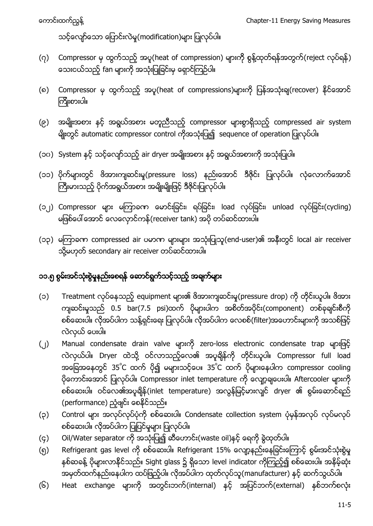သင့်လျော်သော ပြောင်းလဲမှု(modification)များ ပြုလုပ်ပါ။

- (၇) Compressor မှ ထွက်သည့် အပူ(heat of compression) များကို စွန့်ထုတ်ရန်အတွက်(reject လုပ်ရန်) သေးငယ်သည့် fan များကို အသုံးပြုခြင်းမှ ရှောင်ကြဉ်ပါ။
- (၈) Compressor မှ ထွက်သည့် အပူ(heat of compressions)များကို ပြန်အသုံးချ(recover) နိုင်အောင် ကြိုးစားပါ။
- (၉) အမျိုးအစား နင့် အရွယ်အစား မတူညီသည့် compressor များစွာရှိသည့် compressed air system မျိုးတွင် automatic compressor control ကိုအသုံးပြု၍ sequence of operation ပြုလုပ်ပါ။
- (၁၀) System နှင့် သင့်လျော်သည့် air dryer အမျိုးအစား နှင့် အရွယ်အစားကို အသုံးပြုပါ။
- (၁၁) ပိုက်များတွင် ဖိအားကျဆင်းမှု(pressure loss) နည်းအောင် ဒီဇိုင်း ပြုလုပ်ပါ။ လုံလောက်အောင် ကြီးမားသည့် ပိုက်အရွယ်အစား အမျိုးမျိုးဖြင့် ဒီဇိုင်းပြုလုပ်ပါ။
- (၁၂) Compressor များ မကြာခကာ မောင်းခြင်း၊ ရပ်ခြင်း၊ load လုပ်ခြင်း၊ unload လုပ်ခြင်း(cycling) မဖြစ်ပေါ်အောင် လေလှောင်ကန်(receiver tank) အဝို တပ်ဆင်ထားပါ။
- (၁၃) မကြာခဏ compressed air ပမာဏ များများ အသုံးပြုသူ(end-user)၏ အနီးတွင် local air receiver သို့မဟုတ် secondary air receiver တပ်ဆင်ထားပါ။

## ၁၁.၅ စွမ်းအင်သုံးစွဲမှုနည်းစေရန် ဆောင်ရွက်သင့်သည့် အချက်များ

- (၁) Treatment လုပ်နေသည့် equipment များ၏ ဖိအားကျဆင်းမှု(pressure drop) ကို တိုင်းယူပါ။ ဖိအား ကျဆင်းမှုသည် 0.5 bar(7.5 psi)ထက် ပိုများပါက အစိတ်အပိုင်း(component) တစ်ခုချင်းစီကို စစ်ဆေးပါ။ လိုအပ်ပါက သန့်ရှင်းရေး ပြုလုပ်ပါ။ လိုအပ်ပါက လေစစ်(filter)အဟောင်းများကို အသစ်ဖြင့် လဲလှယ် ပေးပါ။
- (၂) Manual condensate drain valve များကို zero-loss electronic condensate trap များဖြင့် လဲလှယ်ပါ။ Dryer ထဲသို့ ဝင်လာသည့်လေ၏ အပူချိန်ကို တိုင်းယူပါ။ Compressor full load အခြေအနေတွင် 35˚C ထက် ပို၍ မများသင့်ပေ။ 35˚C ထက် ပိုများနေပါက compressor cooling ပိုကောင်းအောင် ပြုလုပ်ပါ။ Compressor inlet temperature ကို လျော့ချပေးပါ။ Aftercooler များကို စစ်ဆေးပါ။ ဝင်လေ၏အပူချိန်(inlet temperature) အလွန်မြင့်မားလျင် dryer ၏ စွမ်းဆောင်ရည် (performance) ညံ့ဖျင်း စေနိုင်သည်။
- (၃) Control များ အလုပ်လုပ်ပုံကို စစ်ဆေးပါ။ Condensate collection system ပုံမှန်အလုပ် လုပ်မလုပ် စစ်ဆေးပါ။ လိုအပ်ပါက ပြုပြင်မှုများ ပြုလုပ်ပါ။
- (၄) Oil/Water separator ကို အသုံးပြု၍ ဆီဟောင်း(waste oil)နှင့် ရေကို စွဲထုတ်ပါ။
- ်(၅) Refrigerant gas level ကို စစ်ဆေးပါ။ Refrigerant 15% လျော့နည်းနေခြင်းကြောင့် စွမ်းအင်သုံးစွဲမှု နှစ်ဆခန့် ပိုများလာနိုင်သည်။ Sight glass ၌ ရှိသော level indicator ကိုကြည့်၍ စစ်ဆေးပါ။ အနိမ့်ဆုံး .<br>အမှတ်ထက်နည်းနေပါက ထပ်ဖြည့်ပါ။ လိုအပ်ပါက ထုတ်လုပ်သူ(manufacturer) နှင့် ဆက်သွယ်ပါ။
- (၆) Heat exchange များကို အတွင်းဘက်(internal) နင့် အပြင်ဘက်(external) နစ်ဘက်စလုံး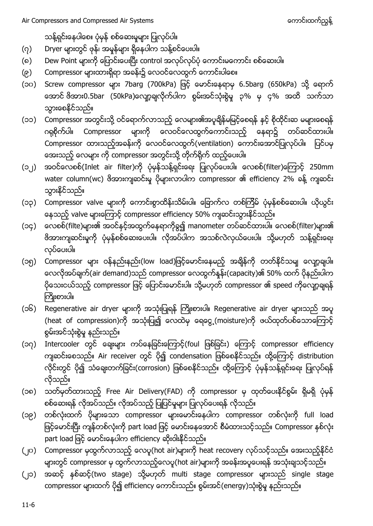သန့်ရှင်းနေပါစေ။ ပုံမှန် စစ်ဆေးမှုများ ပြုလုပ်ပါ။

- (၇) Dryer များတွင် ဖုန်၊ အမှုန်များ ရှိနေပါက သန့်စင်ပေးပါ။
- (၈) Dew Point များကို ပြောင်းပေးပြီး control အလုပ်လုပ်ပုံ ကောင်းမကောင်း စစ်ဆေးပါ။
- (၉) Compressor များထားရှိရာ အခန်း၌ လေဝင်လေထွက် ကောင်းပါစေ။
- (၁၀) Screw compressor များ 7barg (700kPa) ဖြင့် မောင်းနေရာမှ 6.5barg (650kPa) သို့ ရောက် အောင် ဖိအား0.5bar (50kPa)လျော့ချလိုက်ပါက စွမ်းအင်သုံးစွဲမှု ၃% မှ ၄% အထိ သက်သာ သွားစေနိုင်သည်။
- (၁၁) Compressor အတွင်းသို့ ဝင်ရောက်လာသည့် လေများ၏အပူချိန်မမြင့်စေရန် နင့် စိုထိုင်းဆ မများစေရန် ဂရုစိုက်ပါ။ Compressor များကို လေဝင်လေထွက်ကောင်းသည့် နေရာ၌ တပ်ဆင်ထားပါ။ Compressor ထားသည့်အခန်းကို လေဝင်လေထွက်(ventilation) ကောင်းအောင်ပြုလုပ်ပါ။ ပြင်ပမှ အေးသည့် လေများ ကို compressor အတွင်းသို့ တိုက်ရိုက် ထည့်ပေးပါ။
- (၁၂) အဝင်လေစစ်(Inlet air filter)ကို ပုံမှန်သန့်ရှင်းရေး ပြုလုပ်ပေးပါ။ လေစစ်(filter)ကြောင့် 250mm water column(wc) ဖိအားကျဆင်းမှ ပိုများလာပါက compressor ၏ efficiency 2% ခန့် ကျဆင်း သွားနိင်သည်။
- (၁၃) Compressor valve များကို ကောင်းစွာထိန်းသိမ်းပါ။ ခြောက်လ တစ်ကြိမ် ပုံမှန်စစ်ဆေးပါ။ ယိုယွင်း နေသည့် valve များကြောင့် compressor efficiency 50% ကျဆင်းသွားနိုင်သည်။
- (၁၄) လေစစ်(filte)များ၏ အဝင်နှင့်အထွက်နေရာကိုစွ၍ manometer တပ်ဆင်ထားပါ။ လေစစ်(filter)များ၏ ဗိအားကျဆင်းမှုကို ပုံမှန်စစ်ဆေးပေးပါ။ လိုအပ်ပါက အသစ်လဲလှယ်ပေးပါ။ သို့မဟုတ် သန့်ရှင်းရေး လုပ်ပေးပါ။
- (၁၅) Compressor များ ဝန်နည်းနည်း(low load)ဖြင့်မောင်းနေမည့် အချိန်ကို တတ်နိုင်သမျ လျော့ချပါ။ လေလိုအပ်ချက်(air demand)သည် compressor လေထွက်နှန်း(capacity)၏ 50% ထက် ပိုနည်းပါက ပိုသေးငယ်သည့် compressor ဖြင့် ပြောင်းမောင်းပါ။ သို့မဟုတ် compressor ၏ speed ကိုလျော့ချရန် ကြိုးစားပါ။
- (၁၆) Regenerative air dryer များကို အသုံးပြုရန် ကြိုးစားပါ။ Regenerative air dryer များသည် အပူ (heat of compression)ကို အသုံးပြု၍ လေထဲမှ ရေငွေ့ (moisture)ကို ဖယ်ထုတ်ပစ်သောကြောင့် စွမ်းအင်သုံးစွဲမှု နည်းသည်။
- (၁၇) Intercooler တွင် ချေးများ ကပ်နေခြင်းကြောင့်(foul ဖြစ်ခြင်း) ကြောင့် compressor efficiency ကျဆင်းစေသည်။ Air receiver တွင် ပို၍ condensation ဖြစ်စေနိုင်သည်။ ထို့ကြောင့် distribution လိုင်းတွင် ပို၍ သံချေးတက်ခြင်း(corrosion) ဖြစ်စေနိုင်သည်။ ထို့ကြောင့် ပုံမှန်သန့်ရှင်းရေး ပြုလုပ်ရန် လိုသည်။
- (၁၈) သတ်မှတ်ထားသည့် Free Air Delivery(FAD) ကို compressor မှ ထုတ်ပေးနိင်စွမ်း ရှိမရှိ ပုံမှန် စစ်ဆေးရန် လိုအပ်သည်။ လိုအပ်သည့် ပြုပြင်မှုများ ပြုလုပ်ပေးရန် လိုသည်။
- (၁၉) တစ်လုံးထက် ပိုများသော compressor များမောင်းနေပါက compressor တစ်လုံးကို full load ဖြင့်မောင်းပြီး ကျန်တစ်လုံးကို part load ဖြင့် မောင်းနေအောင် စီမံထားသင့်သည်။ Compressor နစ်လုံး part load ဖြင့် မောင်းနေပါက efficiency ဆိုးဝါးနိုင်သည်။
- (၂၀) Compressor မှထွက်လာသည့် လေပူ(hot air)များကို heat recovery လုပ်သင့်သည်။ အေးသည့်နိုင်ငံ များတွင် compressor မှ ထွက်လာသည့်လေပူ(hot air)များကို အခန်းအပူပေးရန် အသုံးချသင့်သည်။
- (၂၁) အဆင့် နစ်ဆင့်(two stage) သို့မဟုတ် multi stage compressor များသည် single stage compressor များထက် ပို၍ efficiency ကောင်းသည်။ စွမ်းအင်(energy)သုံးစွဲမှု နည်းသည်။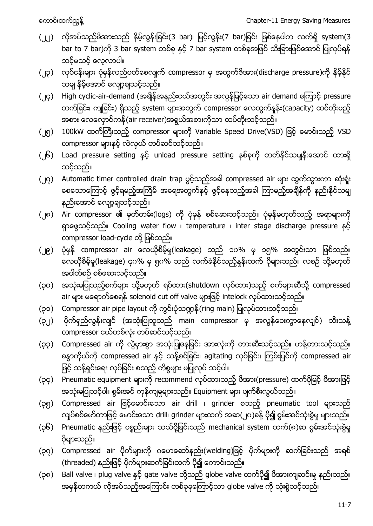- (၂၂) လိုအပ်သည့်ဖိအားသည် နိမ့်လွန်းခြင်း(3 bar)၊ မြင့်လွန်း(7 bar)ခြင်း ဖြစ်နေပါက လက်ရှိ system(3 bar to 7 bar)ကို 3 bar system တစ်ခု နှင့် 7 bar system တစ်ခုအဖြစ် သီးခြားဖြစ်အောင် ပြုလုပ်ရန် သင့်မသင့် လေ့လာပါ။
- (၂၃) လုပ်ငန်းများ ပုံမှန်လည်ပတ်စေလျက် compressor မှ အထွက်ဖိအား(discharge pressure)ကို နိမ့်နိုင် သမျ နိမ့်အောင် လျော့ချသင့်သည်။
- (၂၄) High cyclic-air-demand (အချိန်အနည်းငယ်အတွင်း အလွန်မြင့်သော air demand ကြောင့် pressure တက်ခြင်း၊ ကျခြင်း) ရှိသည့် system များအတွက် compressor လေထွက်နူန်း(capacity) ထပ်တိုးမည့် အစား လေလှောင်ကန်(air receiver)အရွယ်အစားကိုသာ ထပ်တိုးသင့်သည်။
- (၂၅) 100kW ထက်ကြီးသည့် compressor များကို Variable Speed Drive(VSD) ဖြင့် မောင်းသည့် VSD compressor များနှင့် လဲလှယ် တပ်ဆင်သင့်သည်။
- (၂၆) Load pressure setting နှင့် unload pressure setting နစ်ခုကို တတ်နိုင်သမျနီးအောင် ထားရှိ သင့်သည်။
- (၂၇) Automatic timer controlled drain trap ပွင့်သည့်အခါ compressed air များ ထွက်သွားကာ ဆုံးရှုံး စေသောကြောင့် ဖွင့်ရမည့်အကြိမ် အရေအတွက်နှင့် ဖွင့်နေသည့်အခါ ကြာမည့်အချိန်ကို နည်းနိုင်သမျ နည်းအောင် လျော့ချသင့်သည်။
- (၂၈) Air compressor ၏ မှတ်တမ်း(logs) ကို ပုံမှန် စစ်ဆေးသင့်သည်။ ပုံမှန်မဟုတ်သည့် အရာများကို ရှာဖွေသင့်သည်။ Cooling water flow i temperature i inter stage discharge pressure နှင့် compressor load-cycle တို့ ဖြစ်သည်။
- (၂၉) ပုံမှန် compressor air လေယိုစိမ့်မှု(leakage) သည် ၁၀% မှ ၁၅% အတွင်းသာ ဖြစ်သည်။ လေယိုစိမ့်မှု(leakage) ၄၀% မှ ၅၀% သည် လက်ခံနိုင်သည့်နှန်းထက် ပိုများသည်။ လစဉ် သို့မဟုတ် အပါတ်စဉ် စစ်ဆေးသင့်သည်။
- (၃၀) အသုံးမပြုသည့်စက်များ သို့မဟုတ် ရပ်ထား(shutdown လုပ်ထား)သည့် စက်များဆီသို့ compressed air များ မရောက်စေရန် solenoid cut off valve များဖြင့် intelock လုပ်ထားသင့်သည်။
- (၃၁) Compressor air pipe layout ကို ကွင်းပုံသဏ္ဍန် (ring main) ပြုလုပ်ထားသင့်သည်။
- (၃၂) ပိုက်ရှည်လွန်းလျှင် (အသုံးပြုသူသည် main compressor မှ အလွန်ဝေးကွာနေလျှင်) သီးသန့် compressor ငယ်တစ်လုံး တပ်ဆင်သင့်သည်။
- (၃၃) Compressed air ကို လွဲမှားစွာ အသုံးပြုနေခြင်း အားလုံးကို တားဆီးသင့်သည်။ ဟန့်တားသင့်သည်။ ခန္ဓာကိုယ်ကို compressed air နှင့် သန့်စင်ခြင်း၊ agitating လုပ်ခြင်း၊ ကြမ်းပြင်ကို compressed air ဖြင့် သန့်ရှင်းရေး လုပ်ခြင်း စသည့် ကိစ္စများ မပြုလုပ် သင့်ပါ။
- (၃၄) Pneumatic equipment များကို recommend လုပ်ထားသည့် ဖိအား(pressure) ထက်ပိုမြင့် ဖိအားဖြင့် အသုံးမပြုသင့်ပါ။ စွမ်းအင် ကုန်ကျမှုများသည်။ Equipment များ ပျက်စီးလွယ်သည်။
- (၃၅) Compressed air ဖြင့်မောင်းသော air drill ၊ grinder စသည့် pneumatic tool များသည် လျပ်စစ်မော်တာဖြင့် မောင်းသော drill၊ grinder များထက် အဆ(၂ပ)ခန့် ပို၍ စွမ်းအင်သုံးစွဲမှု များသည်။
- (၃၆) Pneumatic နည်းဖြင့် ပစ္စည်းများ သယ်ပို့ခြင်းသည် mechanical system ထက်(၈)ဆ စွမ်းအင်သုံးစွဲမှု ပိုများသည်။
- (၃၇) Compressed air ပိုက်များကို ဂဟေဆော်နည်း(welding)ဖြင့် ပိုက်များကို ဆက်ခြင်းသည် အရစ် (threaded) နည်းဖြင့် ပိုက်များဆက်ခြင်းထက် ပို၍ ကောင်းသည်။
- (၃၈) Ball valve ၊ plug valve နှင့် gate valve တို့သည် globe valve ထက်ပို၍ ဖိအားကျဆင်းမှု နည်းသည်။ အမှန်တကယ် လိုအပ်သည့်အကြောင်း တစ်ခုခုကြောင့်သာ globe valve ကို သုံးစွဲသင့်သည်။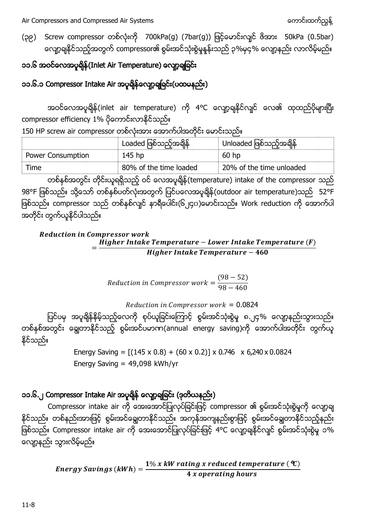(၃၉) Screw compressor တစ်လုံးကို 700kPa(g) (7bar(g)) ဖြင့်မောင်းလျင် ဖိအား 50kPa (0.5bar) လျော့ချနိုင်သည့်အတွက် compressor၏ စွမ်းအင်သုံးစွဲမှုနှန်းသည် ၃%မှ၄% လျော့နည်း လာလိမ့်မည်။

## ၁၁.၆ အဝင်လေအပူရှိန် (Inlet Air Temperature) လျော့ချခြင်း

### ၁၁.၆.၁ Compressor Intake Air အပူချိန်လျော့ချခြင်း(ပထမနည်း)

အဝင်လေအပူရှိန် (inlet air temperature) ကို 4°C လျော့ချနိုင်လျင် လေ၏ ထုထည်ပိုများပြီး compressor efficiency 1% ပိုကောင်းလာနိုင်သည်။

150 HP screw air compressor တစ်လုံးအား အောက်ပါအတိုင်း မောင်းသည်။

|                   | Loaded ဖြစ်သည့်အချိန်  | Unloaded ဖြစ်သည့်အချိန်  |
|-------------------|------------------------|--------------------------|
| Power Consumption | 145 hp                 | 60 hp                    |
| Time              | 80% of the time loaded | 20% of the time unloaded |

တစ်နစ်အတွင်း တိုင်းယူရရှိသည့် ဝင် လေအပူချိန်(temperature) intake of the compressor သည် 98°F ဖြစ်သည်။ သို့သော် တစ်နှစ်ပတ်လုံးအတွက် ပြင်ပလေအပူချိန် (outdoor air temperature)သည် 52°F ဖြစ်သည်။ compressor သည် တစ်နှစ်လျှင် နာရီပေါင်း(၆၂၄၀)မောင်းသည်။ Work reduction ကို အောက်ပါ အတိုင်း တွက်ယူနိုင်ပါသည်။

**Reduction in Compressor work**  $=\frac{H}{A}$ Higher Intake Temperature - 460

$$
Reduction in Compression work = \frac{(98-52)}{98-460}
$$

 $Reduction$  in Compressor work = 0.0824

ပြင်ပမှ အပူရိုန်နိမ့်သည့်လေကို စုပ်ယူခြင်းကြောင့် စွမ်းအင်သုံးစွဲမှု ၈.၂၄% လျော့နည်းသွားသည်။ တစ်နစ်အတွင်း ရွေတာနိုင်သည့် စွမ်းအင်ပမာဏ(annual energy saving)ကို အောက်ပါအတိုင်း တွက်ယူ နိုင်သည်။

> Energy Saving =  $[(145 \times 0.8) + (60 \times 0.2)] \times 0.746 \times 6,240 \times 0.0824$ Energy Saving  $= 49,098$  kWh/yr

## ၁၁.၆.၂ Compressor Intake Air အပူချိန် လျော့ချခြင်း (ဒုတိယနည်း)

Compressor intake air ကို အေးအောင်ပြုလုပ်ခြင်းဖြင့် compressor ၏ စွမ်းအင်သုံးစွဲမှုကို လျော့ချ နိုင်သည်။ တစ်နည်းအားဖြင့် စွမ်းအင်ချွေတာနိုင်သည်။ အကုန်အကျနည်းစွာဖြင့် စွမ်းအင်ချွေတာနိုင်သည့်နည်း ဖြစ်သည်။ Compressor intake air ကို အေးအောင်ပြုလုပ်ခြင်းဖြင့် 4°C လျော့ချနိုင်လျင် စွမ်းအင်သုံးစွဲမှု ၁% လျော့နည်း သွားလိမ့်မည်။

> Energy Savings (kWh) =  $\frac{1}{2}$ 4 x operating hours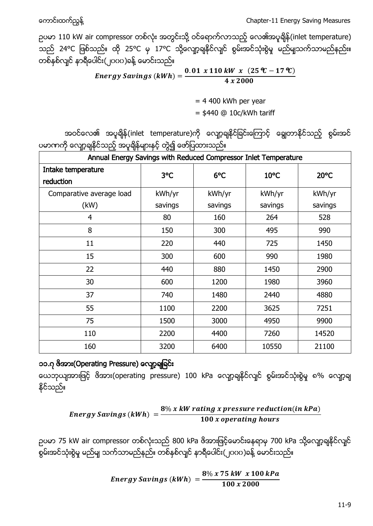႔ Chapter-11 Energy Saving Measures

ဉပမာ 110 kW air compressor တစ်လုံး အတွင်းသို့ ဝင်ရောက်လာသည့် လေ၏အပူချိန်(inlet temperature) 25°C 17°C ႔ တစ်နှစ်လျှင် နာရီပေါင်း(၂၀၀၀)ခန့် မောင်းသည်။

> Energy Savings (kWh) =  $\frac{\bf 0}$ 4

> > $= 4 400$  kWh per year  $=$  \$440 @ 10c/kWh tariff

အဝင်လေ၏ အပူချိန်(inlet temperature)ကို လျော့ချနိုင်ခြင်းကြောင့် ချွေတာနိုင်သည့် စွမ်းအင် ပမာကာကို လျော့ချနိုင်သည့် အပူချိန်များနှင့် တွဲ၍ ဖော်ပြထားသည်။

| Annual Energy Savings with Reduced Compressor Inlet Temperature |         |         |                |         |
|-----------------------------------------------------------------|---------|---------|----------------|---------|
| Intake temperature<br>reduction                                 | 3°C     | 6°C     | $10^{\circ}$ C | 20°C    |
| Comparative average load                                        | kWh/yr  | kWh/yr  | kWh/yr         | kWh/yr  |
| (kW)                                                            | savings | savings | savings        | savings |
| 4                                                               | 80      | 160     | 264            | 528     |
| 8                                                               | 150     | 300     | 495            | 990     |
| 11                                                              | 220     | 440     | 725            | 1450    |
| 15                                                              | 300     | 600     | 990            | 1980    |
| 22                                                              | 440     | 880     | 1450           | 2900    |
| 30                                                              | 600     | 1200    | 1980           | 3960    |
| 37                                                              | 740     | 1480    | 2440           | 4880    |
| 55                                                              | 1100    | 2200    | 3625           | 7251    |
| 75                                                              | 1500    | 3000    | 4950           | 9900    |
| 110                                                             | 2200    | 4400    | 7260           | 14520   |
| 160                                                             | 3200    | 6400    | 10550          | 21100   |

#### ၁၁.၇ ဗိအား(Operating Pressure) လျော့ချခြင်း

ယေဘုယျအားဖြင့် ဖိအား(operating pressure) 100 kPa လျော့ချနိုင်လျင် စွမ်းအင်သုံးစွဲမှု ၈% လျော့ချ နိုင်သည်။

Energy Savings (kWh) = 
$$
\frac{8\% \times kW \, rating \times pressure \, reduction(in \, kPa)}{100 \times operating \, hours}
$$

ဉပမာ 75 kW air compressor တစ်လုံးသည် 800 kPa ဖိအားဖြင့်မောင်းနေရာမှ 700 kPa သို့လျော့ချနိုင်လျင် (၂၀၀၀) ႔

> Energy Savings (kWh)  $=$   $\frac{8}{3}$  $\mathbf{1}$